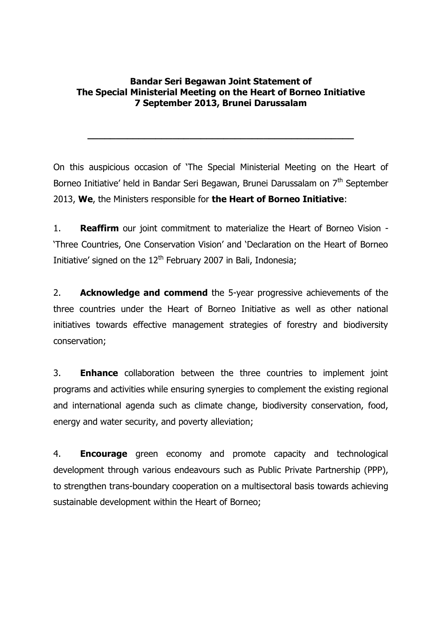## **Bandar Seri Begawan Joint Statement of The Special Ministerial Meeting on the Heart of Borneo Initiative 7 September 2013, Brunei Darussalam**

**\_\_\_\_\_\_\_\_\_\_\_\_\_\_\_\_\_\_\_\_\_\_\_\_\_\_\_\_\_\_\_\_\_\_\_\_\_\_\_\_\_\_\_\_\_\_\_**

On this auspicious occasion of 'The Special Ministerial Meeting on the Heart of Borneo Initiative' held in Bandar Seri Begawan, Brunei Darussalam on 7<sup>th</sup> September 2013, **We**, the Ministers responsible for **the Heart of Borneo Initiative**:

1. **Reaffirm** our joint commitment to materialize the Heart of Borneo Vision - 'Three Countries, One Conservation Vision' and 'Declaration on the Heart of Borneo Initiative' signed on the  $12<sup>th</sup>$  February 2007 in Bali, Indonesia;

2. **Acknowledge and commend** the 5-year progressive achievements of the three countries under the Heart of Borneo Initiative as well as other national initiatives towards effective management strategies of forestry and biodiversity conservation;

3. **Enhance** collaboration between the three countries to implement joint programs and activities while ensuring synergies to complement the existing regional and international agenda such as climate change, biodiversity conservation, food, energy and water security, and poverty alleviation;

4. **Encourage** green economy and promote capacity and technological development through various endeavours such as Public Private Partnership (PPP), to strengthen trans-boundary cooperation on a multisectoral basis towards achieving sustainable development within the Heart of Borneo;